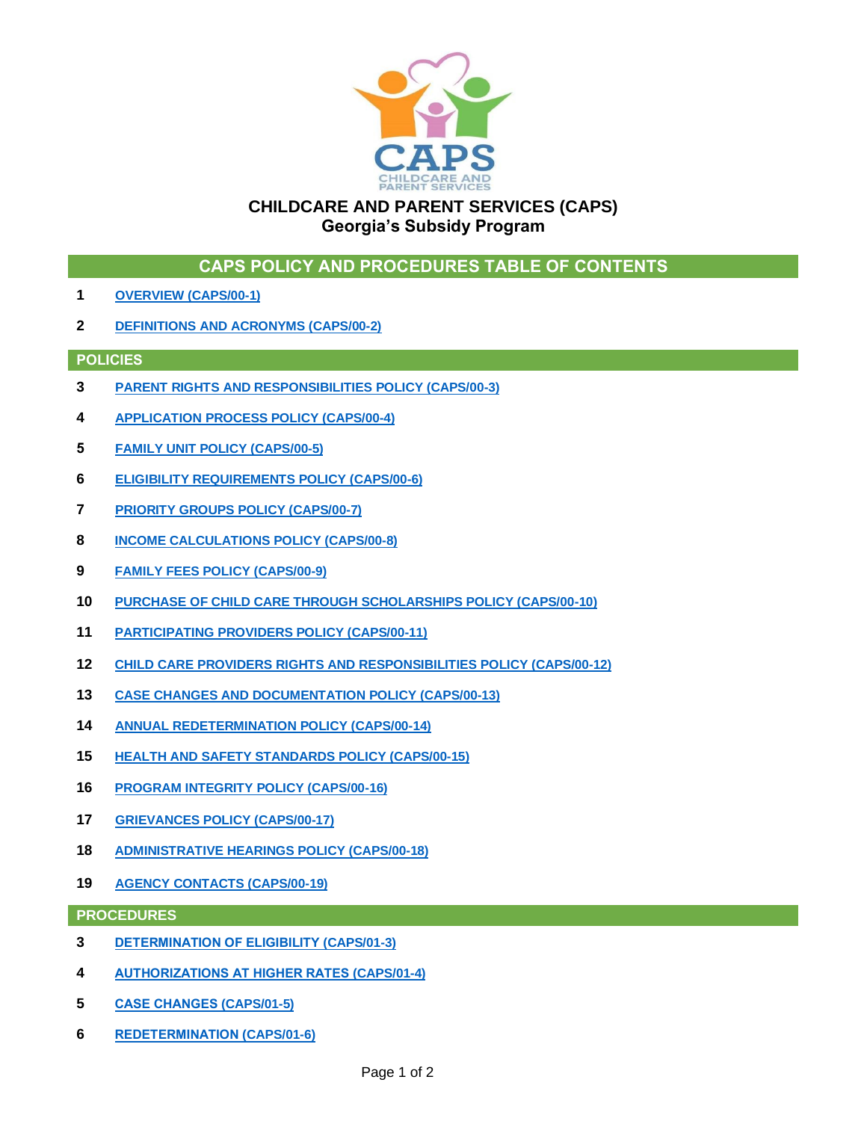

## **CHILDCARE AND PARENT SERVICES (CAPS) Georgia's Subsidy Program**

|  |  | CAPS POLICY AND PROCEDURES TABLE OF CONTENTS |
|--|--|----------------------------------------------|
|--|--|----------------------------------------------|

- **OVERVIEW [\(CAPS/00-1\)](https://caps.decal.ga.gov/assets/downloads/CAPS/01-CAPS_Policy-Overview.pdf)**
- **[DEFINITIONS AND ACRONYMS](https://caps.decal.ga.gov/assets/downloads/CAPS/02-CAPS_Policy-Definitions%20and%20Acronyms.pdf) (CAPS/00-2)**

#### **POLICIES**

- **[PARENT RIGHTS AND RESPONSIBILITIES POLICY \(CAPS/00-3\)](https://caps.decal.ga.gov/assets/downloads/CAPS/03-CAPS_Policy-Parental%20Authority%20Rights%20&%20Responsibilities.pdf)**
- **[APPLICATION PROCESS POLICY](https://caps.decal.ga.gov/assets/downloads/CAPS/04-CAPS_Policy-Application%20Process.pdf) (CAPS/00-4)**
- **[FAMILY UNIT](https://caps.decal.ga.gov/assets/downloads/CAPS/05-CAPS_Policy-Family%20Unit.pdf) POLICY (CAPS/00-5)**
- **[ELIGIBILITY REQUIREMENTS POLICY](https://caps.decal.ga.gov/assets/downloads/CAPS/06-CAPS_Policy-Eligibility%20Requirements.pdf) (CAPS/00-6)**
- **[PRIORITY GROUPS](https://caps.decal.ga.gov/assets/downloads/CAPS/07-CAPS_Policy-Priority%20Groups.pdf) POLICY (CAPS/00-7)**
- **[INCOME CALCULATIONS POLICY](https://caps.decal.ga.gov/assets/downloads/CAPS/08-CAPS_Policy-Income%20Calculations.pdf) (CAPS/00-8)**
- **[FAMILY FEES](https://caps.decal.ga.gov/assets/downloads/CAPS/09-CAPS_Policy-Family%20Fees.pdf) POLICY (CAPS/00-9)**
- **[PURCHASE OF CHILD CARE THROUGH SCHOLARSHIPS POLICY \(CAPS/00-10\)](https://caps.decal.ga.gov/assets/downloads/CAPS/10-CAPS_Policy-Purchase%20of%20Child%20Care%20through%20Scholarships.pdf)**
- **[PARTICIPATING PROVIDERS](https://caps.decal.ga.gov/assets/downloads/CAPS/11-CAPS_Policy-Participating%20Providers.pdf) POLICY (CAPS/00-11)**
- **[CHILD CARE PROVIDERS RIGHTS AND RESPONSIBILITIES POLICY](https://caps.decal.ga.gov/assets/downloads/CAPS/12-CAPS_Policy-Child%20Care%20Provider%20Rights%20&%20Responsibilities.pdf) (CAPS/00-12)**
- **[CASE CHANGES AND DOCUMENTATION POLICY](https://caps.decal.ga.gov/assets/downloads/CAPS/13-CAPS_Policy-Case%20Changes%20and%20Documentation.pdf) (CAPS/00-13)**
- **[ANNUAL REDETERMINATION POLICY](https://caps.decal.ga.gov/assets/downloads/CAPS/14-CAPS_Policy-Annual%20Redetermination.pdf) (CAPS/00-14)**
- **[HEALTH AND SAFETY STANDARDS POLICY \(CAPS/00-15\)](https://caps.decal.ga.gov/assets/downloads/CAPS/15-CAPS_Policy-Health%20and%20Safety%20Standards.pdf)**
- **[PROGRAM INTEGRITY POLICY \(CAPS/00-16\)](https://caps.decal.ga.gov/assets/downloads/CAPS/16-CAPS_Policy-Program%20Integrity.pdf)**
- **[GRIEVANCES POLICY](https://caps.decal.ga.gov/assets/downloads/CAPS/17-CAPS_Policy-Grievances.pdf) (CAPS/00-17)**
- **[ADMINISTRATIVE](https://caps.decal.ga.gov/assets/downloads/CAPS/18-CAPS_Policy-Administrative%20Hearings.pdf) HEARINGS POLICY (CAPS/00-18)**
- **[AGENCY CONTACTS](https://caps.decal.ga.gov/assets/downloads/CAPS/19-CAPS_Policy-Agency%20Contacts.pdf) (CAPS/00-19)**

**PROCEDURES**

- **[DETERMINATION OF ELIGIBILITY](https://caps.decal.ga.gov/assets/downloads/CAPS/03-CAPS_Procedures-Determination%20of%20Eligibility.pdf) (CAPS/01-3)**
- **[AUTHORIZATIONS AT HIGHER RATES](https://caps.decal.ga.gov/assets/downloads/CAPS/04-CAPS_Procedures-Authorizations%20at%20Higher%20Rates.pdf) (CAPS/01-4)**
- **[CASE CHANGES](https://caps.decal.ga.gov/assets/downloads/CAPS/05-CAPS_Procedures-Case%20Changes.pdf) (CAPS/01-5)**
- **[REDETERMINATION](https://caps.decal.ga.gov/assets/downloads/CAPS/06-CAPS_Procedures-Redetermination.pdf) (CAPS/01-6)**